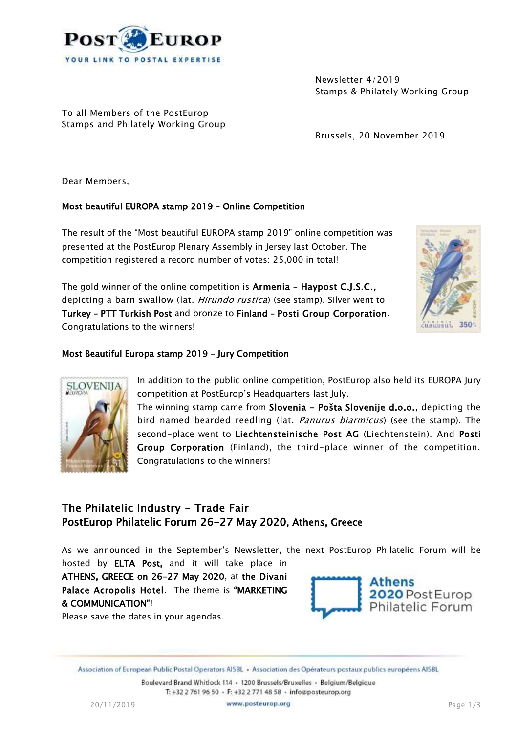

Newsletter 4/2019 Stamps & Philately Working Group

To all Members of the PostEurop Stamps and Philately Working Group

Brussels, 20 November 2019

Dear Members,

**SLOVENIJA** 

### Most beautiful EUROPA stamp 2019 – Online Competition

The result of the "Most beautiful EUROPA stamp 2019" online competition was presented at the PostEurop Plenary Assembly in Jersey last October. The competition registered a record number of votes: 25,000 in total!

The gold winner of the online competition is Armenia – Haypost C.J.S.C., depicting a barn swallow (lat. Hirundo rustica) (see stamp). Silver went to Turkey – PTT Turkish Post and bronze to Finland – Posti Group Corporation. Congratulations to the winners!



### Most Beautiful Europa stamp 2019 – Jury Competition

In addition to the public online competition, PostEurop also held its EUROPA Jury competition at PostEurop's Headquarters last July.

The winning stamp came from Slovenia - Pošta Slovenije d.o.o., depicting the bird named bearded reedling (lat. *Panurus biarmicus*) (see the stamp). The second-place went to Liechtensteinische Post AG (Liechtenstein). And Posti Group Corporation (Finland), the third-place winner of the competition. Congratulations to the winners!

## The Philatelic Industry - Trade Fair PostEurop Philatelic Forum 26-27 May 2020, Athens, Greece

As we announced in the September's Newsletter, the next PostEurop Philatelic Forum will be

hosted by ELTA Post, and it will take place in ATHENS, GREECE on 26-27 May 2020, at the Divani Palace Acropolis Hotel. The theme is "MARKETING & COMMUNICATION"!



Please save the dates in your agendas.

Association of European Public Postal Operators AISBL • Association des Opérateurs postaux publics européens AISBL

Boulevard Brand Whitlock 114 · 1200 Brussels/Bruxelles · Belgium/Belgique T: +32 2 761 96 50 · F: +32 2 771 48 58 · info@posteurop.org

20/11/2019 **WWW.posteurop.org Page 1/3**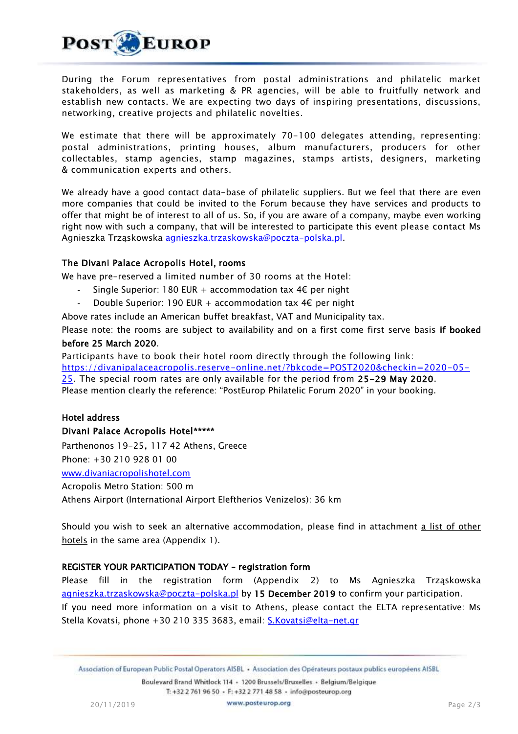

During the Forum representatives from postal administrations and philatelic market stakeholders, as well as marketing & PR agencies, will be able to fruitfully network and establish new contacts. We are expecting two days of inspiring presentations, discussions, networking, creative projects and philatelic novelties.

We estimate that there will be approximately 70-100 delegates attending, representing: postal administrations, printing houses, album manufacturers, producers for other collectables, stamp agencies, stamp magazines, stamps artists, designers, marketing & communication experts and others.

We already have a good contact data-base of philatelic suppliers. But we feel that there are even more companies that could be invited to the Forum because they have services and products to offer that might be of interest to all of us. So, if you are aware of a company, maybe even working right now with such a company, that will be interested to participate this event please contact Ms Agnieszka Trząskowska [agnieszka.trzaskowska@poczta-polska.pl.](mailto:agnieszka.trzaskowska@poczta-polska.pl)

#### The Divani Palace Acropolis Hotel, rooms

We have pre-reserved a limited number of 30 rooms at the Hotel:

- Single Superior: 180 EUR + accommodation tax  $4 \epsilon$  per night
- Double Superior: 190 EUR + accommodation tax  $4\epsilon$  per night

Above rates include an American buffet breakfast, VAT and Municipality tax.

Please note: the rooms are subject to availability and on a first come first serve basis if booked before 25 March 2020.

Participants have to book their hotel room directly through the following link:

[https://divanipalaceacropolis.reserve-online.net/?bkcode=POST2020&checkin=2020-05-](https://divanipalaceacropolis.reserve-online.net/?bkcode=POST2020&checkin=2020-05-25)

[25.](https://divanipalaceacropolis.reserve-online.net/?bkcode=POST2020&checkin=2020-05-25) The special room rates are only available for the period from 25-29 May 2020. Please mention clearly the reference: "PostEurop Philatelic Forum 2020" in your booking.

# Hotel address

Divani Palace Acropolis Hotel\*\*\*\*\* Parthenonos 19-25, 117 42 Athens, Greece

Phone: +30 210 928 01 00

[www.divaniacropolishotel.com](http://www.divaniacropolishotel.com/)

Acropolis Metro Station: 500 m

Athens Airport (International Airport Eleftherios Venizelos): 36 km

Should you wish to seek an alternative accommodation, please find in attachment a list of other hotels in the same area (Appendix 1).

#### REGISTER YOUR PARTICIPATION TODAY – registration form

Please fill in the registration form (Appendix 2) to Ms Agnieszka Trząskowska [agnieszka.trzaskowska@poczta-polska.pl](mailto:agnieszka.trzaskowska@poczta-polska.pl) by 15 December 2019 to confirm your participation. If you need more information on a visit to Athens, please contact the ELTA representative: Ms Stella Kovatsi, phone +30 210 335 3683, email: [S.Kovatsi@elta-net.gr](mailto:S.Kovatsi@elta-net.gr)

Boulevard Brand Whitlock 114 - 1200 Brussels/Bruxelles - Belgium/Belgique T: +32 2 761 96 50 · F: +32 2 771 48 58 · info@posteurop.org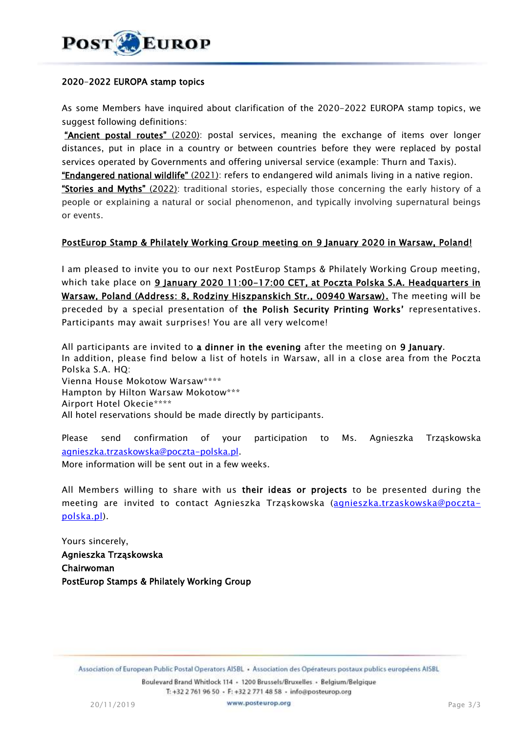

#### 2020-2022 EUROPA stamp topics

As some Members have inquired about clarification of the 2020-2022 EUROPA stamp topics, we suggest following definitions:

"Ancient postal routes" (2020): postal services, meaning the exchange of items over longer distances, put in place in a country or between countries before they were replaced by postal services operated by Governments and offering universal service (example: Thurn and Taxis).

"Endangered national wildlife" (2021): refers to endangered wild animals living in a native region.

**"Stories and Myths"** (2022): traditional stories, especially those concerning the early history of a people or explaining a natural or social phenomenon, and typically involving supernatural beings or events.

#### PostEurop Stamp & Philately Working Group meeting on 9 January 2020 in Warsaw, Poland!

I am pleased to invite you to our next PostEurop Stamps & Philately Working Group meeting, which take place on 9 January 2020 11:00-17:00 CET, at Poczta Polska S.A. Headquarters in Warsaw, Poland (Address: 8, Rodziny Hiszpanskich Str., 00940 Warsaw). The meeting will be preceded by a special presentation of the Polish Security Printing Works' representatives. Participants may await surprises! You are all very welcome!

All participants are invited to a dinner in the evening after the meeting on 9 January. In addition, please find below a list of hotels in Warsaw, all in a close area from the Poczta Polska S.A. HQ: Vienna House Mokotow Warsaw\*\*\*\* Hampton by Hilton Warsaw Mokotow\*\*\* Airport Hotel Okecie\*\*\*\* All hotel reservations should be made directly by participants.

Please send confirmation of your participation to Ms. Agnieszka Trząskowska [agnieszka.trzaskowska@poczta-polska.pl.](mailto:agnieszka.trzaskowska@poczta-polska.pl)

More information will be sent out in a few weeks.

All Members willing to share with us their ideas or projects to be presented during the meeting are invited to contact Agnieszka Trząskowska [\(agnieszka.trzaskowska@poczta](mailto:agnieszka.trzaskowska@poczta-polska.pl)[polska.pl\)](mailto:agnieszka.trzaskowska@poczta-polska.pl).

Yours sincerely, Agnieszka Trząskowska Chairwoman PostEurop Stamps & Philately Working Group

Boulevard Brand Whitlock 114 - 1200 Brussels/Bruxelles - Belgium/Belgique T: +32 2 761 96 50 · F: +32 2 771 48 58 · info@posteurop.org